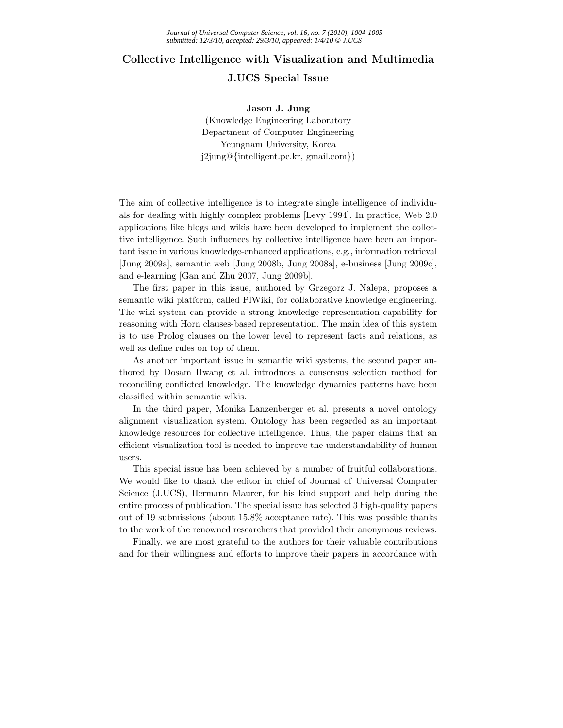## **Collective Intelligence with Visualization and Multimedia**

## **J.UCS Special Issue**

**Jason J. Jung** (Knowledge Engineering Laboratory Department of Computer Engineering Yeungnam University, Korea j2jung@*{*intelligent.pe.kr, gmail.com*}*)

The aim of collective intelligence is to integrate single intelligence of individuals for dealing with highly complex problems [Levy 1994]. In practice, Web 2.0 applications like blogs and wikis have been developed to implement the collective intelligence. Such influences by collective intelligence have been an important issue in various knowledge-enhanced applications, e.g., information retrieval [Jung 2009a], semantic web [Jung 2008b, Jung 2008a], e-business [Jung 2009c], and e-learning [Gan and Zhu 2007, Jung 2009b].

The first paper in this issue, authored by Grzegorz J. Nalepa, proposes a semantic wiki platform, called PlWiki, for collaborative knowledge engineering. The wiki system can provide a strong knowledge representation capability for reasoning with Horn clauses-based representation. The main idea of this system is to use Prolog clauses on the lower level to represent facts and relations, as well as define rules on top of them.

As another important issue in semantic wiki systems, the second paper authored by Dosam Hwang et al. introduces a consensus selection method for reconciling conflicted knowledge. The knowledge dynamics patterns have been classified within semantic wikis.

In the third paper, Monika Lanzenberger et al. presents a novel ontology alignment visualization system. Ontology has been regarded as an important knowledge resources for collective intelligence. Thus, the paper claims that an efficient visualization tool is needed to improve the understandability of human users.

This special issue has been achieved by a number of fruitful collaborations. We would like to thank the editor in chief of Journal of Universal Computer Science (J.UCS), Hermann Maurer, for his kind support and help during the entire process of publication. The special issue has selected 3 high-quality papers out of 19 submissions (about 15.8% acceptance rate). This was possible thanks to the work of the renowned researchers that provided their anonymous reviews.

Finally, we are most grateful to the authors for their valuable contributions and for their willingness and efforts to improve their papers in accordance with